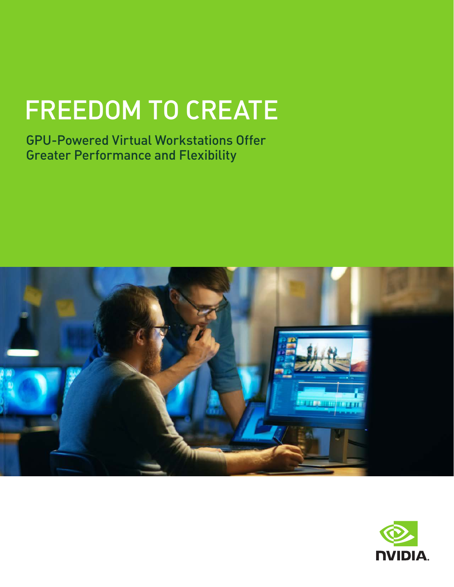# FREEDOM TO CREATE

GPU-Powered Virtual Workstations Offer Greater Performance and Flexibility



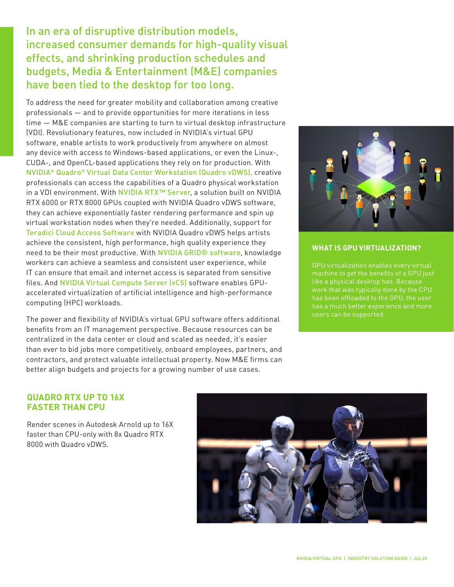### In an era of disruptive distribution models, increased consumer demands for high-quality visual effects, and shrinking production schedules and budgets, Media & Entertainment (M&E) companies have been tied to the desktop for too long.

To address the need for greater mobility and collaboration among creative professionals — and to provide opportunities for more iterations in less time — M&E companies are starting to turn to virtual desktop infrastructure (VDI). Revolutionary features, now included in NVIDIA's virtual GPU software, enable artists to work productively from anywhere on almost any device with access to Windows-based applications, or even the Linux-, CUDA-, and OpenCL-based applications they rely on for production. With NVIDIA® Quadro® Virtual Data Center Workstation (Quadro vDWS), creative professionals can access the capabilities of a Quadro physical workstation in a VDI environment. With NVIDIA RTX™ Server, a solution built on NVIDIA RTX 6000 or RTX 8000 GPUs coupled with NVIDIA Quadro vDWS software, they can achieve exponentially faster rendering performance and spin up virtual workstation nodes when they're needed. Additionally, support for [Teradici Cloud Access Software](https://www.teradici.com/products/cloud-access/cloud-access-software) with NVIDIA Quadro vDWS helps artists achieve the consistent, high performance, high quality experience they need to be their most productive. With NVIDIA GRID® software, knowledge workers can achieve a seamless and consistent user experience, while IT can ensure that email and internet access is separated from sensitive files. And NVIDIA Virtual Compute Server (vCS) software enables GPUaccelerated virtualization of artificial intelligence and high-performance computing (HPC) workloads.

The power and flexibility of NVIDIA's virtual GPU software offers additional benefits from an IT management perspective. Because resources can be centralized in the data center or cloud and scaled as needed, it's easier than ever to bid jobs more competitively, onboard employees, partners, and contractors, and protect valuable intellectual property. Now M&E firms can better align budgets and projects for a growing number of use cases.



#### **WHAT IS GPU VIRTUALIZATION?**

work that was typically done by the CPU users can be supported.

#### **QUADRO RTX UP TO 16X FASTER THAN CPU**

Render scenes in Autodesk Arnold up to 16X faster than CPU-only with 8x Quadro RTX 8000 with Quadro vDWS.

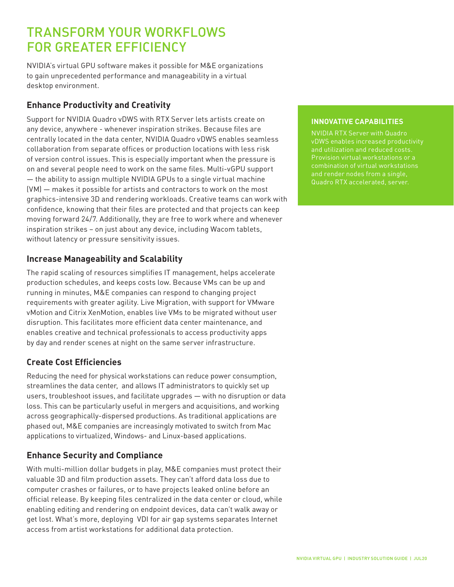### TRANSFORM YOUR WORKFLOWS FOR GREATER EFFICIENCY

NVIDIA's virtual GPU software makes it possible for M&E organizations to gain unprecedented performance and manageability in a virtual desktop environment.

### **Enhance Productivity and Creativity**

Support for NVIDIA Quadro vDWS with RTX Server lets artists create on any device, anywhere - whenever inspiration strikes. Because files are centrally located in the data center, NVIDIA Quadro vDWS enables seamless collaboration from separate offices or production locations with less risk of version control issues. This is especially important when the pressure is on and several people need to work on the same files. Multi-vGPU support — the ability to assign multiple NVIDIA GPUs to a single virtual machine (VM) — makes it possible for artists and contractors to work on the most graphics-intensive 3D and rendering workloads. Creative teams can work with confidence, knowing that their files are protected and that projects can keep moving forward 24/7. Additionally, they are free to work where and whenever inspiration strikes – on just about any device, including [Wacom tablets,](https://www.youtube.com/watch?v=rPkuWD0Yvko&feature=youtu.be) without latency or pressure sensitivity issues.

#### **Increase Manageability and Scalability**

The rapid scaling of resources simplifies IT management, helps accelerate production schedules, and keeps costs low. Because VMs can be up and running in minutes, M&E companies can respond to changing project requirements with greater agility. Live Migration, with support for VMware vMotion and Citrix XenMotion, enables live VMs to be migrated without user disruption. This facilitates more efficient data center maintenance, and enables creative and technical professionals to access productivity apps by day and render scenes at night on the same server infrastructure.

### **Create Cost Efficiencies**

Reducing the need for physical workstations can reduce power consumption, streamlines the data center, and allows IT administrators to quickly set up users, troubleshoot issues, and facilitate upgrades — with no disruption or data loss. This can be particularly useful in mergers and acquisitions, and working across geographically-dispersed productions. As traditional applications are phased out, M&E companies are increasingly motivated to switch from Mac applications to virtualized, Windows- and Linux-based applications.

### **Enhance Security and Compliance**

With multi-million dollar budgets in play, M&E companies must protect their valuable 3D and film production assets. They can't afford data loss due to computer crashes or failures, or to have projects leaked online before an official release. By keeping files centralized in the data center or cloud, while enabling editing and rendering on endpoint devices, data can't walk away or get lost. What's more, deploying VDI for air gap systems separates Internet access from artist workstations for additional data protection.

#### **INNOVATIVE CAPABILITIES**

NVIDIA RTX Server with Quadro Provision virtual workstations or a combination of virtual workstations and render nodes from a single, Quadro RTX accelerated, server.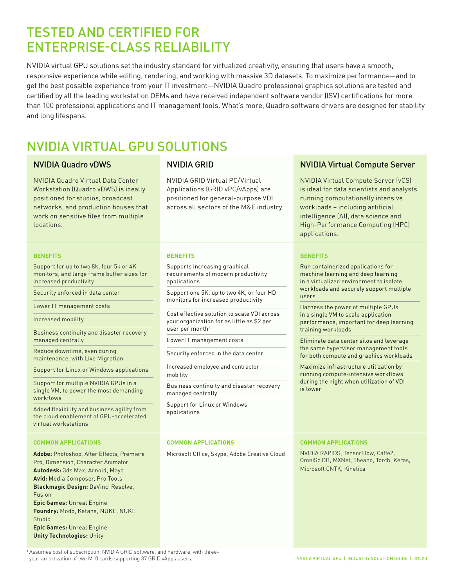### TESTED AND CERTIFIED FOR ENTERPRISE-CLASS RELIABILITY

NVIDIA virtual GPU solutions set the industry standard for virtualized creativity, ensuring that users have a smooth, responsive experience while editing, rendering, and working with massive 3D datasets. To maximize performance—and to get the best possible experience from your IT investment—NVIDIA Quadro professional graphics solutions are tested and certified by all the leading workstation OEMs and have received independent software vendor (ISV) certifications for more than 100 professional applications and IT management tools. What's more, Quadro software drivers are designed for stability and long lifespans.

## NVIDIA VIRTUAL GPU SOLUTIONS

NVIDIA Quadro Virtual Data Center Workstation (Quadro vDWS) is ideally positioned for studios, broadcast networks, and production houses that work on sensitive files from multiple locations.

NVIDIA GRID Virtual PC/Virtual Applications (GRID vPC/vApps) are positioned for general-purpose VDI across all sectors of the M&E industry.

#### **BENEFITS**

Support for up to two 8k, four 5k or 4K monitors, and large frame buffer sizes for increased productivity

Security enforced in data center

Lower IT management costs

Increased mobility

Business continuity and disaster recovery managed centrally

Reduce downtime, even during maintenance, with Live Migration

Support for Linux or Windows applications

Support for multiple NVIDIA GPUs in a single VM, to power the most demanding workflows

Added flexibility and business agility from the cloud enablement of GPU-accelerated virtual workstations

#### **COMMON APPLICATIONS**

**Adobe:** Photoshop, After Effects, Premiere Pro, Dimension, Character Animator **Autodesk:** 3ds Max, Arnold, Maya **Avid:** Media Composer, Pro Tools **Blackmagic Design:** DaVinci Resolve, Fusion **Epic Games:** Unreal Engine **Foundry:** Modo, Katana, NUKE, NUKE **Studio Epic Games:** Unreal Engine **Unity Technologies:** Unity

#### **BENEFITS**

Supports increasing graphical requirements of modern productivity applications

Support one 5K, up to two 4K, or four HD monitors for increased productivity

Cost effective solution to scale VDI across your organization for as little as \$2 per user per month<sup>1</sup>

Lower IT management costs

Security enforced in the data center

Increased employee and contractor mobility

Business continuity and disaster recovery managed centrally

Support for Linux or Windows applications

#### **COMMON APPLICATIONS**

Microsoft Office, Skype, Adobe Creative Cloud

#### NVIDIA Quadro vDWS NVIDIA GRID NUIDIA VITUA Virtual Compute Server

NVIDIA Virtual Compute Server (vCS) is ideal for data scientists and analysts running computationally intensive workloads – including artificial intelligence (AI), data science and High-Performance Computing (HPC) applications.

#### **BENEFITS**

Run containerized applications for machine learning and deep learning in a virtualized environment to isolate workloads and securely support multiple users

Harness the power of multiple GPUs in a single VM to scale application performance, important for deep learning training workloads

Eliminate data center silos and leverage the same hypervisor management tools for both compute and graphics workloads

Maximize infrastructure utilization by running compute-intensive workflows during the night when utilization of VDI is lower

#### **COMMON APPLICATIONS**

NVIDIA RAPIDS, TensorFlow, Caffe2, OmniSciDB, MXNet, Theano, Torch, Keras, Microsoft CNTK, Kinetica

<sup>1</sup> Assumes cost of subscription, NVIDIA GRID software, and hardware, with threeyear amortization of two M10 cards supporting 87 GRID vApps users.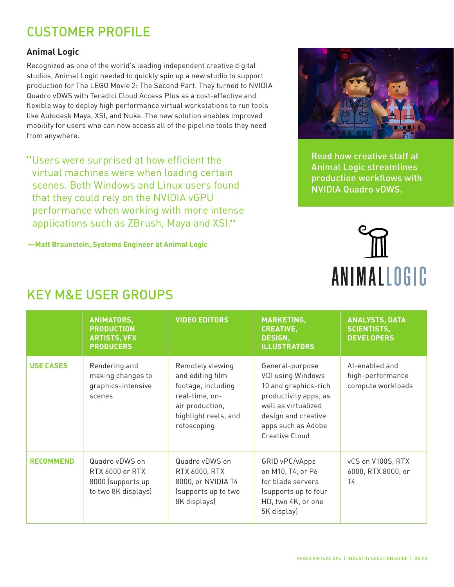### CUSTOMER PROFILE

#### **Animal Logic**

Recognized as one of the world's leading independent creative digital studios, Animal Logic needed to quickly spin up a new studio to support production for The LEGO Movie 2: The Second Part. They turned to NVIDIA Quadro vDWS with Teradici Cloud Access Plus as a cost-effective and flexible way to deploy high performance virtual workstations to run tools like Autodesk Maya, XSI, and Nuke. The new solution enables improved mobility for users who can now access all of the pipeline tools they need from anywhere.

"Users were surprised at how efficient the virtual machines were when loading certain scenes. Both Windows and Linux users found that they could rely on the NVIDIA vGPU performance when working with more intense applications such as ZBrush, Maya and XSI."

**—Matt Braunstein, Systems Engineer at Animal Logic**



[Read how creative staff at](https://images.nvidia.com/content/pdf/grid/success-story/vgpu-animal-logic-customer-success-story.pdf?_lrsc=59646b1b-6910-468c-9ff0-7f55551aac2b&ncid=so-lin-lt-798)  [Animal Logic streamlines](https://images.nvidia.com/content/pdf/grid/success-story/vgpu-animal-logic-customer-success-story.pdf?_lrsc=59646b1b-6910-468c-9ff0-7f55551aac2b&ncid=so-lin-lt-798)  [production workflows with](https://blogs.nvidia.com/blog/2017/08/09/nvidia-grid-for-vfx/)  [NVIDIA Quadro vDWS.](https://images.nvidia.com/content/pdf/grid/success-story/vgpu-animal-logic-customer-success-story.pdf?_lrsc=59646b1b-6910-468c-9ff0-7f55551aac2b&ncid=so-lin-lt-798)



|                  | <b>ANIMATORS,</b><br><b>PRODUCTION</b><br><b>ARTISTS, VFX</b><br><b>PRODUCERS</b> | <b>VIDEO EDITORS</b>                                                                                                                   | <b>MARKETING,</b><br><b>CREATIVE,</b><br><b>DESIGN,</b><br><b>ILLUSTRATORS</b>                                                                                                     | <b>ANALYSTS, DATA</b><br><b>SCIENTISTS,</b><br><b>DEVELOPERS</b> |
|------------------|-----------------------------------------------------------------------------------|----------------------------------------------------------------------------------------------------------------------------------------|------------------------------------------------------------------------------------------------------------------------------------------------------------------------------------|------------------------------------------------------------------|
| <b>USE CASES</b> | Rendering and<br>making changes to<br>graphics-intensive<br>scenes                | Remotely viewing<br>and editing film<br>footage, including<br>real-time, on-<br>air production,<br>highlight reels, and<br>rotoscoping | General-purpose<br><b>VDI using Windows</b><br>10 and graphics-rich<br>productivity apps, as<br>well as virtualized<br>design and creative<br>apps such as Adobe<br>Creative Cloud | Al-enabled and<br>high-performance<br>compute workloads          |
| <b>RECOMMEND</b> | Quadro vDWS on<br>RTX 6000 or RTX<br>8000 (supports up<br>to two 8K displays)     | Quadro vDWS on<br>RTX 6000, RTX<br>8000, or NVIDIA T4<br>(supports up to two<br>8K displays)                                           | GRID vPC/vApps<br>on M10, T4, or P6<br>for blade servers<br>(supports up to four<br>HD, two 4K, or one<br>5K display)                                                              | vCS on V100S, RTX<br>6000, RTX 8000, or<br>T4                    |

## KEY M&E USER GROUPS